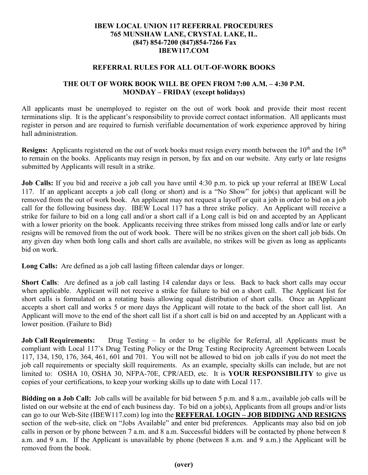## **IBEW LOCAL UNION 117 REFERRAL PROCEDURES 765 MUNSHAW LANE, CRYSTAL LAKE, IL. (847) 854-7200 (847)854-7266 Fax IBEW117.COM**

## **REFERRAL RULES FOR ALL OUT-OF-WORK BOOKS**

## **THE OUT OF WORK BOOK WILL BE OPEN FROM 7:00 A.M. – 4:30 P.M. MONDAY – FRIDAY (except holidays)**

All applicants must be unemployed to register on the out of work book and provide their most recent terminations slip. It is the applicant's responsibility to provide correct contact information. All applicants must register in person and are required to furnish verifiable documentation of work experience approved by hiring hall administration.

**Resigns:** Applicants registered on the out of work books must resign every month between the 10<sup>th</sup> and the 16<sup>th</sup> to remain on the books. Applicants may resign in person, by fax and on our website. Any early or late resigns submitted by Applicants will result in a strike.

**Job Calls:** If you bid and receive a job call you have until 4:30 p.m. to pick up your referral at IBEW Local 117. If an applicant accepts a job call (long or short) and is a "No Show" for job(s) that applicant will be removed from the out of work book. An applicant may not request a layoff or quit a job in order to bid on a job call for the following business day. IBEW Local 117 has a three strike policy. An Applicant will receive a strike for failure to bid on a long call and/or a short call if a Long call is bid on and accepted by an Applicant with a lower priority on the book. Applicants receiving three strikes from missed long calls and/or late or early resigns will be removed from the out of work book. There will be no strikes given on the short call job bids. On any given day when both long calls and short calls are available, no strikes will be given as long as applicants bid on work.

**Long Calls:** Are defined as a job call lasting fifteen calendar days or longer.

**Short Calls**: Are defined as a job call lasting 14 calendar days or less. Back to back short calls may occur when applicable. Applicant will not receive a strike for failure to bid on a short call. The Applicant list for short calls is formulated on a rotating basis allowing equal distribution of short calls. Once an Applicant accepts a short call and works 5 or more days the Applicant will rotate to the back of the short call list. An Applicant will move to the end of the short call list if a short call is bid on and accepted by an Applicant with a lower position. (Failure to Bid)

**Job Call Requirements:** Drug Testing – In order to be eligible for Referral, all Applicants must be compliant with Local 117's Drug Testing Policy or the Drug Testing Reciprocity Agreement between Locals 117, 134, 150, 176, 364, 461, 601 and 701. You will not be allowed to bid on job calls if you do not meet the job call requirements or specialty skill requirements. As an example, specialty skills can include, but are not limited to: OSHA 10, OSHA 30, NFPA-70E, CPR/AED, etc. It is **YOUR RESPONSIBILITY** to give us copies of your certifications, to keep your working skills up to date with Local 117.

**Bidding on a Job Call:** Job calls will be available for bid between 5 p.m. and 8 a.m., available job calls will be listed on our website at the end of each business day. To bid on a job(s), Applicants from all groups and/or lists can go to our Web-Site (IBEW117.com) log into the **REFFERAL LOGIN – JOB BIDDING AND RESIGNS** section of the web-site, click on "Jobs Available" and enter bid preferences. Applicants may also bid on job calls in person or by phone between 7 a.m. and 8 a.m. Successful bidders will be contacted by phone between 8 a.m. and 9 a.m. If the Applicant is unavailable by phone (between 8 a.m. and 9 a.m.) the Applicant will be removed from the book.